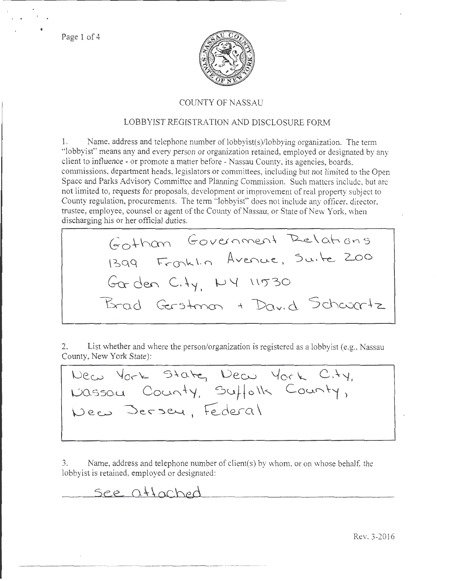Page 1 of 4



## COUNTY OF NASSAU

# LOBBYIST REGISTRATION AND DISCLOSURE FORM

Name, address and telephone number of lobbyist(s)/lobbying organization. The term 1. "lobbyist" means any and every person or organization retained, employed or designated by any client to influence - or promote a matter before - Nassau County, its agencies, boards. commissions, department heads, legislators or committees, including but not limited to the Open Space and Parks Advisory Committee and Planning Commission. Such matters include, but are not limited to, requests for proposals, development or improvement of real property subject to County regulation, procurements. The term "lobbyist" does not include any officer, director, trustee, employee, counsel or agent of the County of Nassau, or State of New York, when discharging his or her official duties.

Gothan Government Relations 1399 Fronklin Avenue, Suite 200 Gorden City, NY 11530 Brad Gerstman + David Schwartz

2. List whether and where the person/organization is registered as a lobbyist (e.g., Nassau County, New York State):

New York State, New York City, Nassau County, Suffolk County,

Name, address and telephone number of client(s) by whom, or on whose behalf, the 3. lobbyist is retained, employed or designated:

See attached

Rev. 3-2016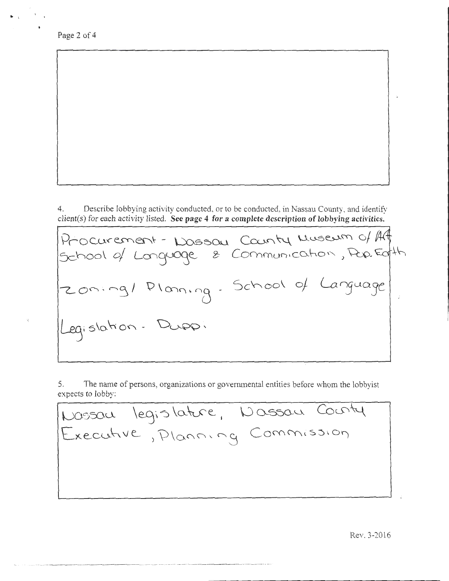Page 2 of 4

-------------------

. '

4. Describe lobbying activity conducted, or to be conducted, in Nassau County, and identifv client(s) for each activity listed. See page 4 for a complete description of lobbying activities.

 $P_{\Gamma}$ O curement -  $D$  assou County Museum of Aff School of Language  $\varepsilon$  Communication, Pap. Earth zoning/ Planing - School of Language<br>Legislation - Dupp:

5. The name of persons, organizations or governmental entities before whom the lobbvist expects to lobby:

| Nossau legislature, Nassau County |
|-----------------------------------|
| Executive, Planning Commission    |
|                                   |
|                                   |
|                                   |

Rev. 3-2016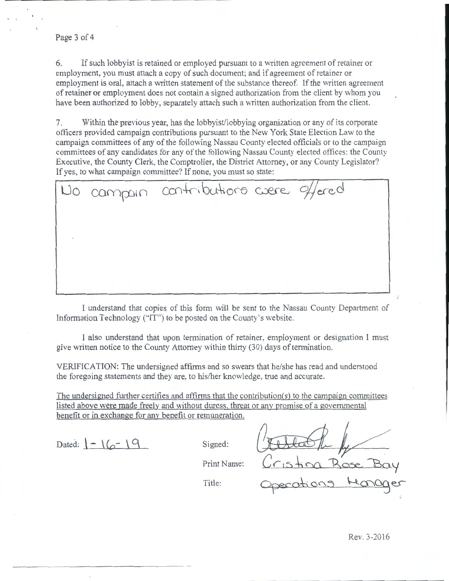#### Page 3 of 4

6. If such lobby is retained or employed pursuant to a written agreement of retainer or employment, you must attach a copy of such document; and if agreement of retainer or employment is oral, attach a written statement of the substance thereof. If the written agreement of retainer or employment does not contain a signed authorization from the client by whom you have been authorized to lobby, separately attach such a written authorization from the client.

7. Within the previous year, has the lobbyist/lobbying organization or any of its corporate officers provided campaign contributions pursuant to the New York State Election Law to the campaign committees of any of the following Nassau County elected officials or to the campaign committees of any candidates for any of the following Nassau County elected oftices: the County Executive, the County Clerk, the Comptroller, the District Attorney, or any County Legislator? If yes, to what campaign committee? If none, you must so state:

campain contributions were effered

I understand that copies of this form will be sent to the Nassau County Department of Information Technology ("IT") to be posted on the County's website.

I also understand that upon termination of retainer, employment or designation I must give written notice to the County Attorney within thirty (30) days of termination.

VERIFICATION: The undersigned affirms and so swears that he/she has read and understood the foregoing statements and they are, to his/her knowledge, true and accurate.

The undersigned further certifies and affirms that the contribution(s) to the campaign committees listed above were made freely and without duress. threat or any promise of a governmental benefit or in exchange for any benefit or remuneration.

Dated:  $\left( - \frac{1}{9} \right)$ 

Signed:

Print Name:

Cristia Rose Bay Title: Operations Monager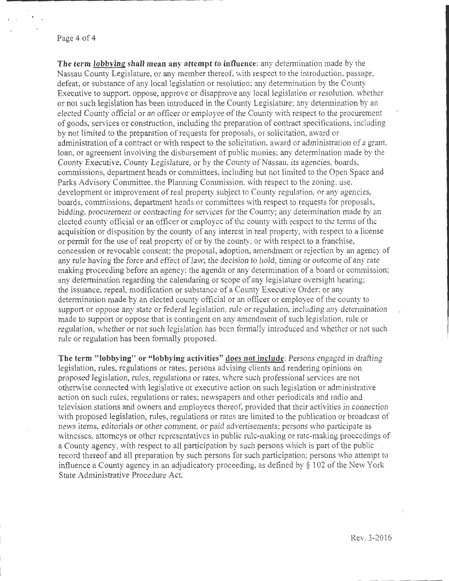Page **4** of 4

**The term lobbving shall mean any attempt to influence:** any determination made by the Nassau County Legislature, or any member thereof, with respect to the introduction, passage, defeat, or substance of any local legislation or resolution; any determination by the County Executive to support, oppose, approve or disapprove any local legislation or resolution, whether or not such legislation has been introduced in the County Legislature; any determination by an elected County official or an officer or employee of the County with respect to the procurement of goods, services or construction, including the preparation of contract specifications, including by not limited to the preparation of requests for proposals, or solicitation, award or administration of a contract or with respect to the solicitation, award or administration of a grant, loan, or agreement involving the disbursement of public monies: any determination made by the County Executive, County Legislature, or by the County of Nassau, its agencies, boards, commissions, department beads or committees, including but not limited to the Open Space and Parks Advisory Committee, the Planning Commission, with respect to the zoning, use, development or improvement of real property subject to County regulation, or any agencies, boards, commissions, department heads or committees with respect to requests for proposals, bidding, procurement or contracting for services for the County; any determination made by an elected county official or an officer or employee of the county with respect to the terms of the acquisition or disposition by the county of any interest in real property, with respect to a license or permit for the use of real property of or by the county, or with respect to a franchise, concession or revocable consent; the proposal, adoption, amendment or rejection by an agency of any rule having the force and effect of law; the decision to hold, timing or outcome of any rate making proceeding before an agency; the agenda or any determination of a board or commission; any determination regarding the calendaring or scope of any legislature oversight hearing; the issuance, repeal, modification or substance of a County Executive Order; or any determination made by an elected county official or an officer or employee of the county to support or oppose any state or federal legislation, rule or regulation, including any determination made to support or oppose that is contingent on any amendment of such legislation, mle or regulation, whether or not such legislation has been formally introduced and whether or not such rule or regulation has been formally proposed.

**The term "lobbying" or "lobbying activities" docs not include:** Persons engaged in drafting legislation, rules, regulations or rates; persons advising clients and rendering opinions on proposed legislation, rules, regulations or rates, where such professional services are not otherwise cmmected with legislative or executive action on such legislation or administrative action on such rules, regulations or rates; newspapers and other periodicals and radio and television stations and owners and employees thereof, provided that their activities in connection with proposed legislation, rules, regulations or rates are limited to the publication or broadcast of news items, editorials or other comment, or paid advertisements; persons who participate as witnesses, attorneys or other representatives in public rule-making or rate-making proceedings of a County agency, with respect to all participation by such persons which is part of the public record thereof and all preparation by such persons for such participation; persons who attempt to influence a County agency in an adjudicatory proceeding, as defined by  $\S 102$  of the New York State Administrative Procedure Act.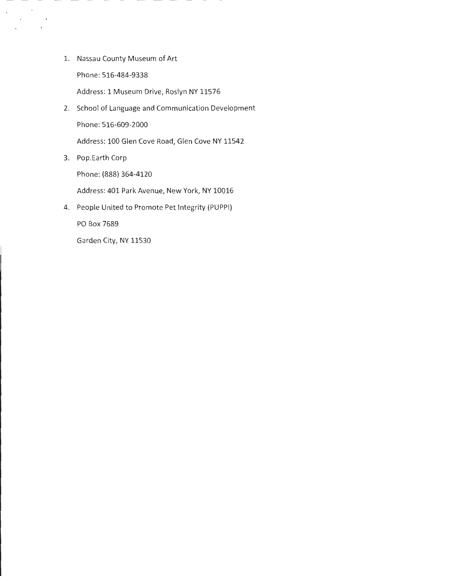1. Nassau County Museum of Art

Phone: 516-484-9338

 $\sim$   $\sim$  $\mathcal{L}^{\text{max}}$ 

 $\sim$  $\bar{z}$ 

Address: 1 Museum Drive, Roslyn NY 11576

2. School of Language and Communication Development Phone: 516-609-2000

Address: 100 Glen Cove Road, Glen Cove NY 11542

3. Pop.Earth Corp

Phone: (888) 364-4120

Address: 401 Park Avenue, New York, NY 10016

4. People United to Promote Pet Integrity (PUPPI)

PO Box 7689

Garden City, NY 11530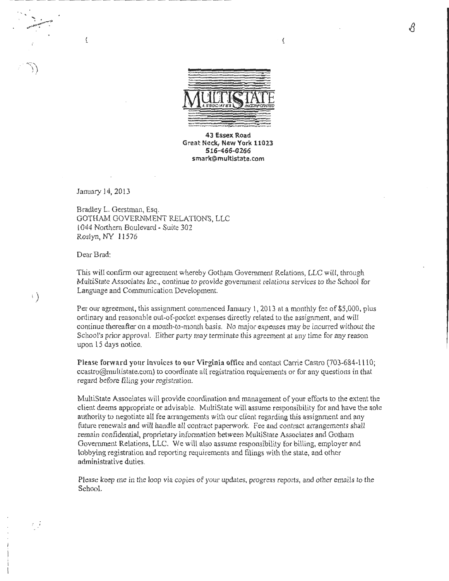

 $\overline{C}$ 

43 Essex Road Great Neck, New York 11023 516-466-0266 smark@multistate.com

January 14, 2013

Ĺ

 $\mathcal{L}^*$ 

ぅ)

 $t\in$ 

8 radley L. Gerstman, Esq. GOTHAM GOVERNMENT RELATIONS, LLC l 044 Northern Boulevard- Suite 302 Roslyn, NY 11576

Dear Brad:

This will confirm our agreement whereby Gotham Government Relations, LLC will, through MultiState Associates Inc ., continue to provide government relations services to the School for Language and Communication Development.

Per our agreement, this assignment commenced January 1, 2013 at a monthly fee of \$5,000, plus ordinary and reasonable out-of-pocket expenses directly related to the assignment, and will continue thereafter on a month-to-month basis. No major expenses may be incurred without the School's prior approval. Either party may terminate this agreement at any time for any reason upon 15 days notice.

Please forward your invoices to our Virginia office and contact Carrie Castro (703-684-1110; ccastro@multistate.com) to coordinate all registration requirements or for any questions in that regard before filing your registration.

MultiState Associates will provide coordination and management of your efforts to the extent the client deems appropriate or advisable. MultiState will assume responsibility for and have the sole authority to negotiate all fee arrangements with our client regarding this assignment and any future renewals and will handle all contract paperwork. Fee and contract arrangements shall remain confidential, proprietary information between MultiState Associates and Gotham Government Relations, LLC. We will also assume responsibility for billing, employer and lobbying registration and reporting requirements and filings with the state, and other administrative duties.

Please keep me in the loop via copies of your updates, progress reports, and other emails to the School.

B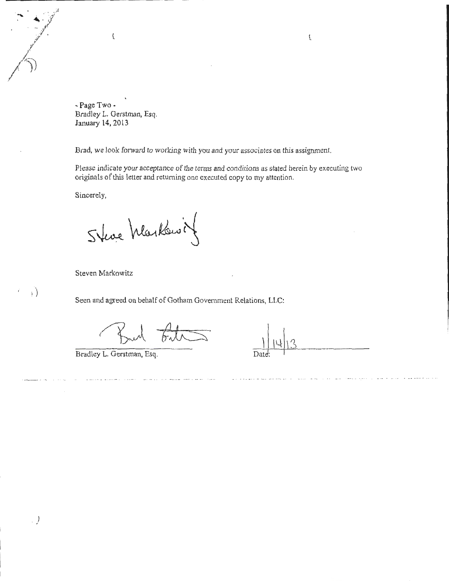-Page Two· Bradley L. Gerstman, Esq. January 14, 2013

 $\boldsymbol{\mathcal{L}}$ 

Brad, we look forward to working with you and your associates on this assignment.

Please indicate your acceptance of the terms and conditions as stated herein by executing two originals of this letter and returning one executed copy to my attention.

Sincerely,

- : *;f ··l'-* ·./ . <sup>F</sup>

·,r

*r* 

)

<sup>i</sup>)

 $\bigwedge$  ))

Steve Markowit

Steven Markowitz

Seen and agreed on behalf of Gotham Government Relations, LLC:

Bradley L. Gerstman, Esq.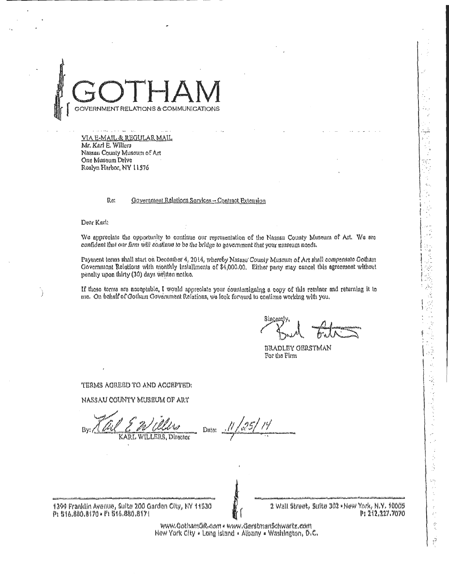

VIA E-MAIL & REGULAR MAIL Mr. Karl E. Willers Nassan County Museum of Art One Museum Drive Roslyn Harbor, NY 11576

#### Re: Government Relations Services - Contract Extension

Dear Karl:

We appreciate the opportunity to continue our representation of the Nassau County Museum of Art. We are confident that our firm will continue to be the bridge to government that your museum needs.

Payment terms shall start on December 4, 2014, whereby Nassau County Museum of Art shall compensate Gotham Government Relations with monthly installments of \$4,000.00. Either party may cancel this agreement without penalty upon thirty (30) days written notice.

If those terms are acceptable, I would appreciate your countersigning a copy of this retainer and returning it to me. On behalf of Gotham Government Relations, we look for yard to continue working with you.

Sincare

可引出  $\sim$  . ķ.

 $\frac{1}{2}$  $\frac{1}{2}$ 

 $\ddot{\chi}$ 

Ŕ,

実践 けんしょうじょうきょう

Ļ,

 $\frac{1}{2}$ ś ċ, ÷,

 $\ddot{\ddot{\zeta}}$ 

Å

**BRADLEY OERSTMAN** For the Firm

TERMS ACREED TO AND ACCEPTED:

NASSAU COUNTY MUSEUM OF ART

ħι WILLERS, Director K AR L

Dute:

1399 Franklin Avenue, Suite 200 Garden City, NY 11530 P: 516.880.8170 - F: 516.880.8171

2 Wall Street, Suite 302 - New York, N.Y. 10005 P: 212.227.7070

www.GothamGR.com · www.GerstmanSchwartz.com New York City . Long Island . Albany . Washington, D.C.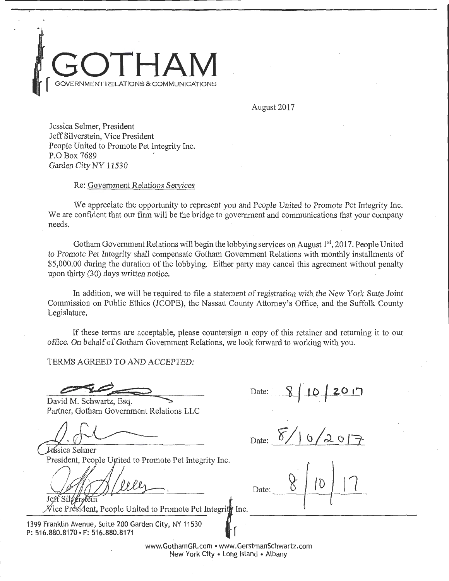

August 2017

Jessica Selmer, President Jeff Silverstein, Vice President People United to Promote Pet Integrity Inc. P.O Box 7689 Garden City NY 11530

### Re: Government Relations Services

We appreciate the opportunity to represent you and People United to Promote Pet Integrity Inc. We are confident that our firm will be the bridge to government and communications that your company needs.

Gotham Government Relations will begin the lobbying services on August 1<sup>st</sup>, 2017. People United to Promote Pet Integrity shall compensate Gotham Government Relations with monthly installments of \$5,000.00 during the duration of the lobbying. Either party may cancel this agreement without penalty upon thirty (30) days written notice.

In addition, we will be required to file a statement of registration with the New York State Joint Commission on Public Ethics (JCOPE), the Nassau County Attorney's Office, and the Suffolk County Legislature.

If these terms are acceptable, please countersign a copy of this retainer and returning it to our office. On behalf of Gotham Government Relations, we look forward to working with you.

Date:

TERMS AGREED TO AND ACCEPTED:

David M. Schwartz, Esq. Partner, Gotham Government Relations LLC

Jessica Selmer

Date:

Let 1 million to Promote Pet Integrity Inc.

Nice President, People  $\frac{J}{\sqrt{2}}$  sumplying

1399 Franklin Avenue, Suite 200 Garden City, NY 11530 P: 516.880.8170 · F: 516.880.8171

Date: ------~---,r------  $10 | 17$ ----------------------------------

www. Gotham GR. com • www. Gerstman Schwartz.com New York City • Long Island • Albany